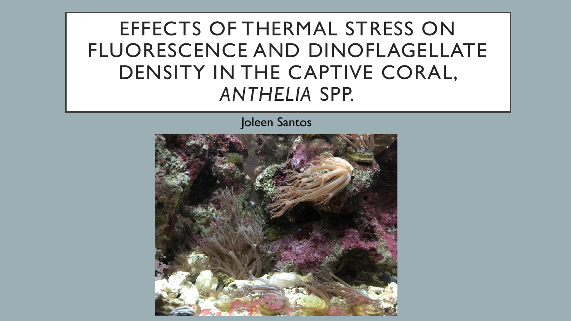EFFECTS OF THERMAL STRESS ON FLUORESCENCE AND DINOFLAGELLATE DENSITY IN THE CAPTIVE CORAL, *ANTHELIA* SPP.

Joleen Santos

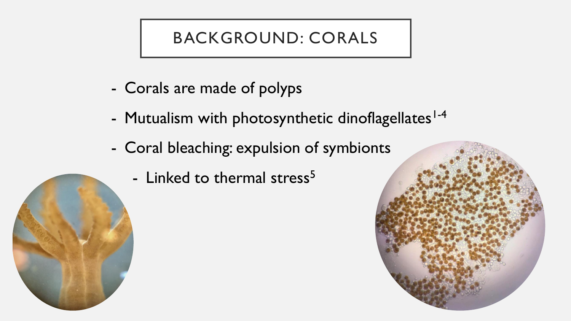# BACKGROUND: CORALS

- Corals are made of polyps
- Mutualism with photosynthetic dinoflagellates<sup>1-4</sup>
- Coral bleaching: expulsion of symbionts
	- Linked to thermal stress<sup>5</sup>



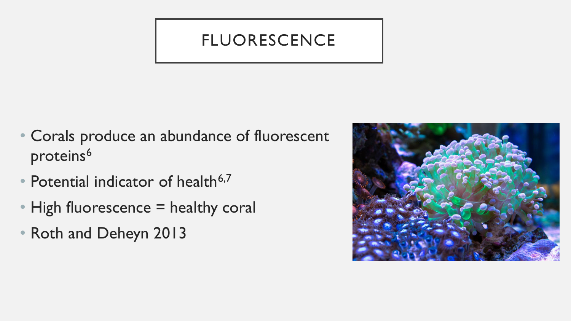### FLUORESCENCE

- Corals produce an abundance of fluorescent proteins<sup>6</sup>
- Potential indicator of health $6,7$
- High fluorescence = healthy coral
- Roth and Deheyn 2013

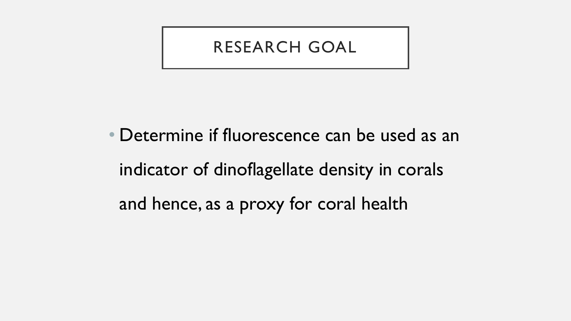#### RESEARCH GOAL

• Determine if fluorescence can be used as an indicator of dinoflagellate density in corals and hence, as a proxy for coral health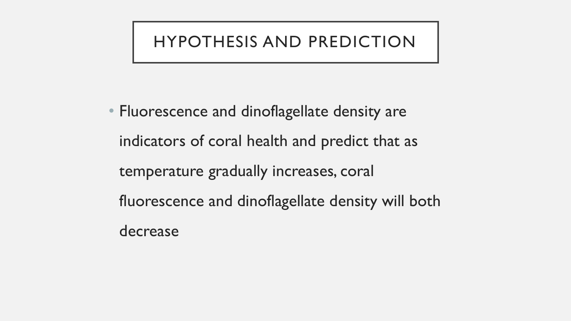### HYPOTHESIS AND PREDICTION

• Fluorescence and dinoflagellate density are indicators of coral health and predict that as temperature gradually increases, coral fluorescence and dinoflagellate density will both decrease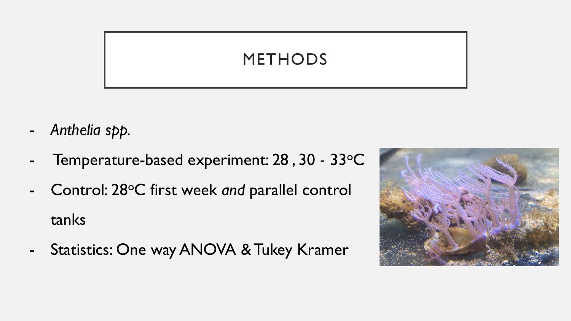## METHODS

- *Anthelia spp.*
- Temperature-based experiment: 28, 30 33°C
- Control: 28°C first week and parallel control tanks
- Statistics: One way ANOVA & Tukey Kramer

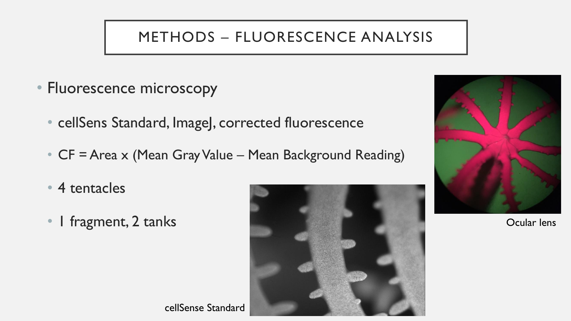#### METHODS – FLUORESCENCE ANALYSIS

- Fluorescence microscopy
	- cellSens Standard, ImageJ, corrected fluorescence
	- CF = Area x (Mean Gray Value Mean Background Reading)
	- 4 tentacles
	-



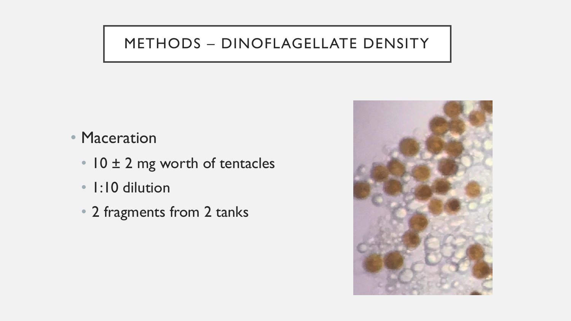#### METHODS – DINOFLAGELLATE DENSITY

- Maceration
	- 10 ± 2 mg worth of tentacles
	- 1:10 dilution
	- 2 fragments from 2 tanks

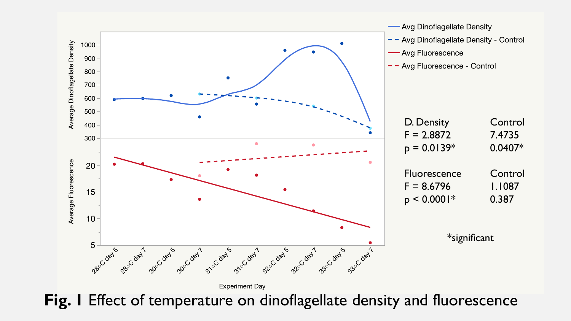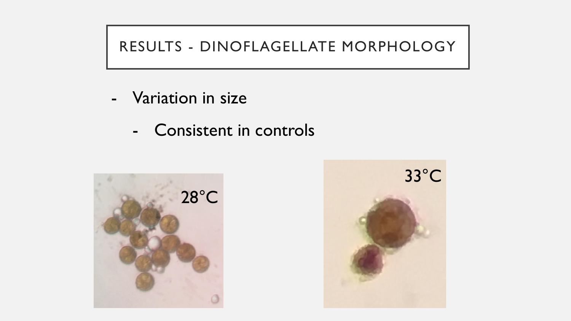### RESULTS - DINOFLAGELLATE MORPHOLOGY

- Variation in size
	- Consistent in controls



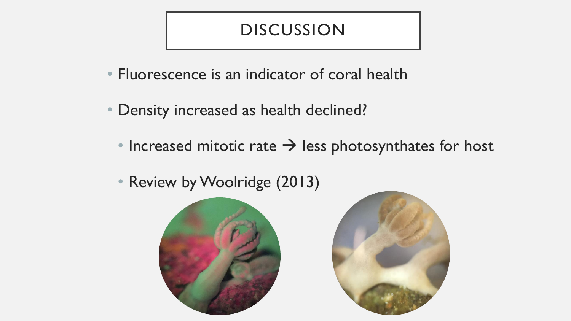#### DISCUSSION

- Fluorescence is an indicator of coral health
- Density increased as health declined?
	- Increased mitotic rate  $\rightarrow$  less photosynthates for host
	- Review by Woolridge (2013)



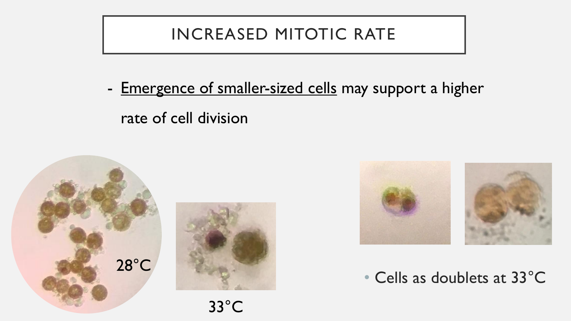# INCREASED MITOTIC RATE

- Emergence of smaller-sized cells may support a higher rate of cell division







• Cells as doublets at 33°C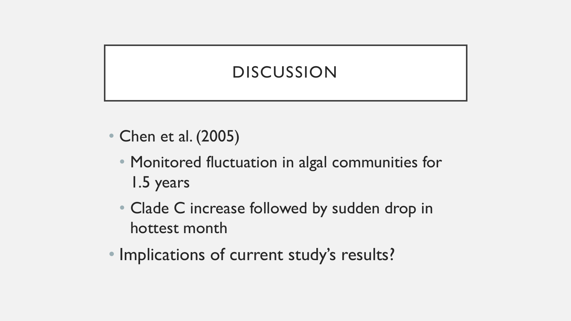# DISCUSSION

- Chen et al. (2005)
	- Monitored fluctuation in algal communities for 1.5 years
	- Clade C increase followed by sudden drop in hottest month
- Implications of current study's results?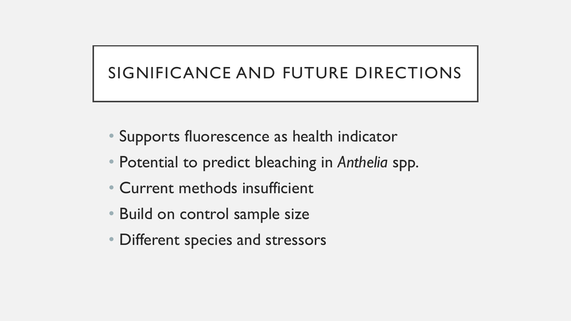# SIGNIFICANCE AND FUTURE DIRECTIONS

- Supports fluorescence as health indicator
- Potential to predict bleaching in *Anthelia* spp.
- Current methods insufficient
- Build on control sample size
- Different species and stressors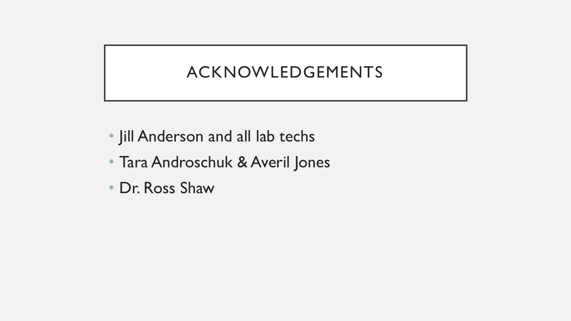# ACKNOWLEDGEMENTS

- Jill Anderson and all lab techs
- Tara Androschuk & Averil Jones
- Dr. Ross Shaw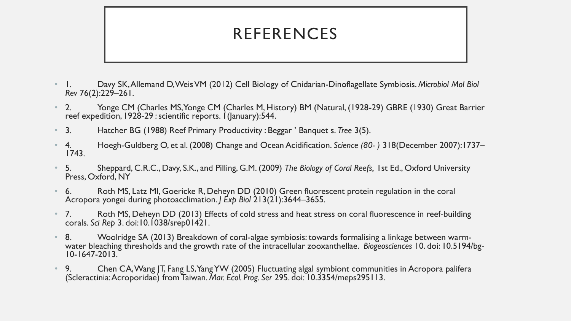## REFERENCES

- 1. Davy SK, Allemand D, Weis VM (2012) Cell Biology of Cnidarian-Dinoflagellate Symbiosis. *Microbiol Mol Biol Rev* 76(2):229–261.
- 2. Yonge CM (Charles MS, Yonge CM (Charles M, History) BM (Natural, (1928-29) GBRE (1930) Great Barrier reef expedition, 1928-29 : scientific reports. 1(January):544.
- 3. Hatcher BG (1988) Reef Primary Productivity : Beggar ' Banquet s. *Tree* 3(5).
- 4. Hoegh-Guldberg O, et al. (2008) Change and Ocean Acidification. *Science (80- )* 318(December 2007):1737– 1743.
- 5. Sheppard, C.R.C., Davy, S.K., and Pilling, G.M. (2009) *The Biology of Coral Reefs,* 1st Ed., Oxford University Press, Oxford, NY
- 6. Roth MS, Latz MI, Goericke R, Deheyn DD (2010) Green fluorescent protein regulation in the coral Acropora yongei during photoacclimation. *J Exp Biol* 213(21):3644–3655.
- 7. Roth MS, Deheyn DD (2013) Effects of cold stress and heat stress on coral fluorescence in reef-building corals. *Sci Rep* 3. doi:10.1038/srep01421.
- 8. Woolridge SA (2013) Breakdown of coral-algae symbiosis: towards formalising a linkage between warmwater bleaching thresholds and the growth rate of the intracellular zooxanthellae. *Biogeosciences* 10. doi: 10.5194/bg-10-1647-2013.
- 9. Chen CA, Wang JT, Fang LS, Yang YW (2005) Fluctuating algal symbiont communities in Acropora palifera (Scleractinia: Acroporidae) from Taiwan. *Mar. Ecol. Prog. Ser* 295. doi: 10.3354/meps295113.